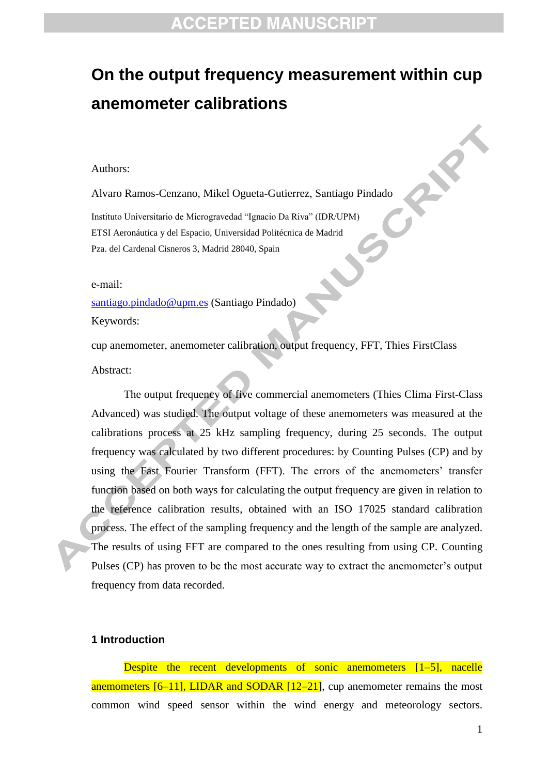# **On the output frequency measurement within cup anemometer calibrations**

#### Authors:

Alvaro Ramos-Cenzano, Mikel Ogueta-Gutierrez, Santiago Pindado Instituto Universitario de Microgravedad "Ignacio Da Riva" (IDR/UPM) ETSI Aeronáutica y del Espacio, Universidad Politécnica de Madrid Pza. del Cardenal Cisneros 3, Madrid 28040, Spain

e-mail:

[santiago.pindado@upm.es](mailto:santiago.pindado@upm.es) (Santiago Pindado)

Keywords:

cup anemometer, anemometer calibration, output frequency, FFT, Thies FirstClass Abstract:

۹ 

The output frequency of five commercial anemometers (Thies Clima First-Class Advanced) was studied. The output voltage of these anemometers was measured at the calibrations process at 25 kHz sampling frequency, during 25 seconds. The output frequency was calculated by two different procedures: by Counting Pulses (CP) and by using the Fast Fourier Transform (FFT). The errors of the anemometers' transfer function based on both ways for calculating the output frequency are given in relation to the reference calibration results, obtained with an ISO 17025 standard calibration process. The effect of the sampling frequency and the length of the sample are analyzed. The results of using FFT are compared to the ones resulting from using CP. Counting Pulses (CP) has proven to be the most accurate way to extract the anemometer's output frequency from data recorded.

#### **1 Introduction**

Despite the recent developments of sonic anemometers [1–5], nacelle anemometers [6–11], LIDAR and SODAR [12–21], cup anemometer remains the most common wind speed sensor within the wind energy and meteorology sectors.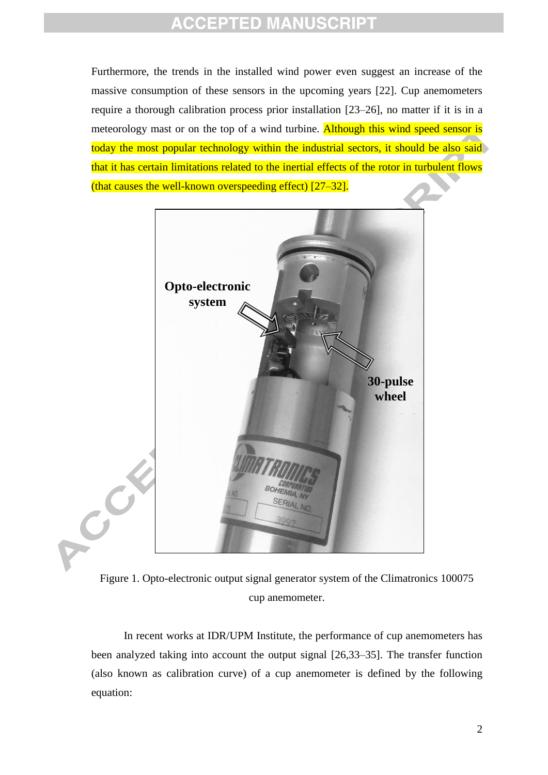Furthermore, the trends in the installed wind power even suggest an increase of the massive consumption of these sensors in the upcoming years [22]. Cup anemometers require a thorough calibration process prior installation [23–26], no matter if it is in a meteorology mast or on the top of a wind turbine. Although this wind speed sensor is today the most popular technology within the industrial sectors, it should be also said that it has certain limitations related to the inertial effects of the rotor in turbulent flows (that causes the well-known overspeeding effect) [27–32].



Figure 1. Opto-electronic output signal generator system of the Climatronics 100075 cup anemometer.

In recent works at IDR/UPM Institute, the performance of cup anemometers has been analyzed taking into account the output signal [26,33–35]. The transfer function (also known as calibration curve) of a cup anemometer is defined by the following equation: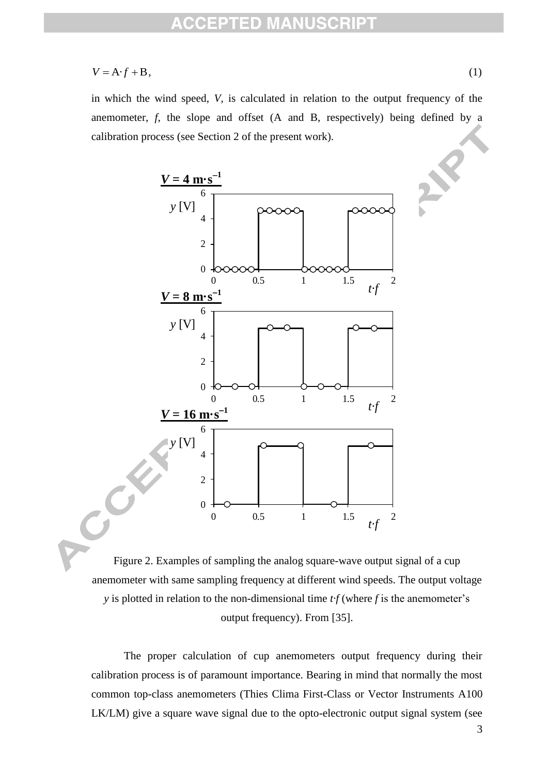$$
V = A \cdot f + B,\tag{1}
$$

in which the wind speed, *V*, is calculated in relation to the output frequency of the anemometer,  $f$ , the slope and offset  $(A \text{ and } B)$ , respectively) being defined by a calibration process (see Section 2 of the present work).



Figure 2. Examples of sampling the analog square-wave output signal of a cup anemometer with same sampling frequency at different wind speeds. The output voltage *y* is plotted in relation to the non-dimensional time *t·f* (where *f* is the anemometer's output frequency). From [35].

The proper calculation of cup anemometers output frequency during their calibration process is of paramount importance. Bearing in mind that normally the most common top-class anemometers (Thies Clima First-Class or Vector Instruments A100 LK/LM) give a square wave signal due to the opto-electronic output signal system (see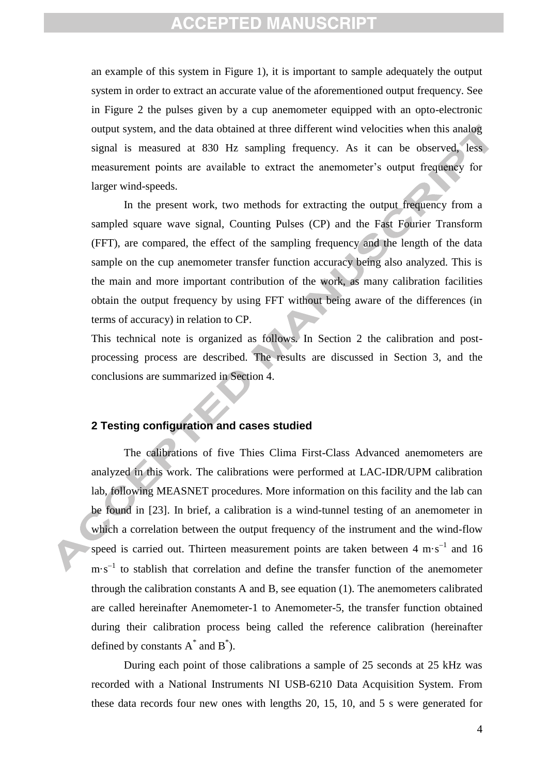an example of this system in Figure 1), it is important to sample adequately the output system in order to extract an accurate value of the aforementioned output frequency. See in Figure 2 the pulses given by a cup anemometer equipped with an opto-electronic output system, and the data obtained at three different wind velocities when this analog signal is measured at 830 Hz sampling frequency. As it can be observed, less measurement points are available to extract the anemometer's output frequency for larger wind-speeds.

In the present work, two methods for extracting the output frequency from a sampled square wave signal, Counting Pulses (CP) and the Fast Fourier Transform (FFT), are compared, the effect of the sampling frequency and the length of the data sample on the cup anemometer transfer function accuracy being also analyzed. This is the main and more important contribution of the work, as many calibration facilities obtain the output frequency by using FFT without being aware of the differences (in terms of accuracy) in relation to CP.

This technical note is organized as follows. In Section 2 the calibration and postprocessing process are described. The results are discussed in Section 3, and the conclusions are summarized in Section 4.

#### **2 Testing configuration and cases studied**

The calibrations of five Thies Clima First-Class Advanced anemometers are analyzed in this work. The calibrations were performed at LAC-IDR/UPM calibration lab, following MEASNET procedures. More information on this facility and the lab can be found in [23]. In brief, a calibration is a wind-tunnel testing of an anemometer in which a correlation between the output frequency of the instrument and the wind-flow speed is carried out. Thirteen measurement points are taken between  $4 \text{ m} \cdot \text{s}^{-1}$  and 16  $m \cdot s^{-1}$  to stablish that correlation and define the transfer function of the anemometer through the calibration constants A and B, see equation (1). The anemometers calibrated are called hereinafter Anemometer-1 to Anemometer-5, the transfer function obtained during their calibration process being called the reference calibration (hereinafter defined by constants  $A^*$  and  $B^*$ ).

During each point of those calibrations a sample of 25 seconds at 25 kHz was recorded with a National Instruments NI USB-6210 Data Acquisition System. From these data records four new ones with lengths 20, 15, 10, and 5 s were generated for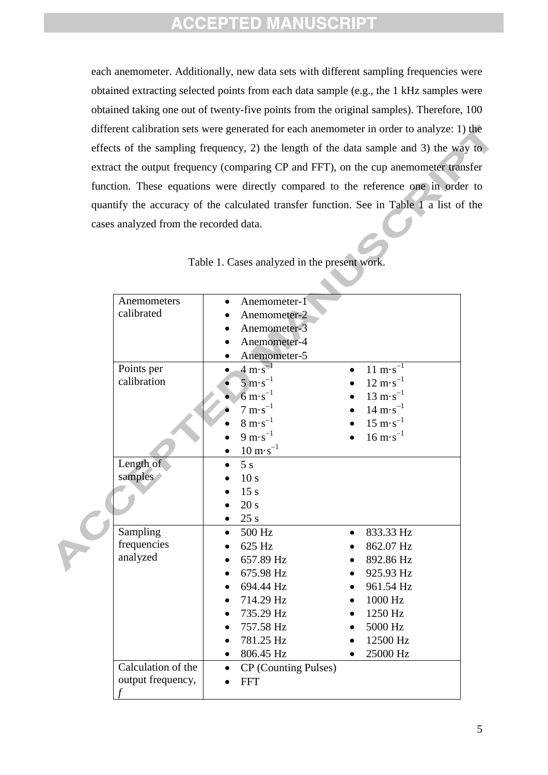each anemometer. Additionally, new data sets with different sampling frequencies were obtained extracting selected points from each data sample (e.g., the 1 kHz samples were obtained taking one out of twenty-five points from the original samples). Therefore, 100 different calibration sets were generated for each anemometer in order to analyze: 1) the effects of the sampling frequency, 2) the length of the data sample and 3) the way to extract the output frequency (comparing CP and FFT), on the cup anemometer transfer function. These equations were directly compared to the reference one in order to quantify the accuracy of the calculated transfer function. See in Table 1 a list of the cases analyzed from the recorded data.

|  | Anemometers        | $\bullet$ | Anemometer-1                       |           |                                    |
|--|--------------------|-----------|------------------------------------|-----------|------------------------------------|
|  | calibrated         |           | Anemometer-2                       |           |                                    |
|  |                    |           | Anemometer-3                       |           |                                    |
|  |                    |           | Anemometer-4                       |           |                                    |
|  |                    |           | Anemometer-5                       |           |                                    |
|  | Points per         |           | $4 \text{ m} \cdot \text{s}^{-1}$  |           | $11 \text{ m} \cdot \text{s}^{-1}$ |
|  | calibration        |           | $5 \text{ m} \cdot \text{s}^{-1}$  |           | $12 \text{ m} \cdot \text{s}^{-1}$ |
|  |                    |           | $6 \text{ m} \cdot \text{s}^{-1}$  |           | $13 \text{ m} \cdot \text{s}^{-1}$ |
|  |                    |           | $7 \text{ m} \cdot \text{s}^{-1}$  |           | $14 \text{ m} \cdot \text{s}^{-1}$ |
|  |                    |           | $8 \text{ m} \cdot \text{s}^{-1}$  |           | $15 \text{ m} \cdot \text{s}^{-1}$ |
|  |                    |           | $9 \text{ m} \cdot \text{s}^{-1}$  |           | $16 \text{ m} \cdot \text{s}^{-1}$ |
|  |                    |           | $10 \text{ m} \cdot \text{s}^{-1}$ |           |                                    |
|  | Length of          |           | 5s                                 |           |                                    |
|  | samples            |           | 10 <sub>s</sub>                    |           |                                    |
|  |                    |           | 15 <sub>s</sub>                    |           |                                    |
|  |                    |           | 20 s                               |           |                                    |
|  |                    |           | 25s                                |           |                                    |
|  | Sampling           | $\bullet$ | 500 Hz                             | $\bullet$ | 833.33 Hz                          |
|  | frequencies        |           | 625 Hz                             |           | 862.07 Hz                          |
|  | analyzed           |           | 657.89 Hz                          |           | 892.86 Hz                          |
|  |                    |           | 675.98 Hz                          |           | 925.93 Hz                          |
|  |                    |           | 694.44 Hz                          |           | 961.54 Hz                          |
|  |                    |           |                                    |           |                                    |
|  |                    |           | 714.29 Hz                          |           | 1000 Hz                            |
|  |                    |           | 735.29 Hz                          |           | 1250 Hz                            |
|  |                    |           | 757.58 Hz                          |           | 5000 Hz                            |
|  |                    |           | 781.25 Hz                          |           | 12500 Hz                           |
|  |                    | $\bullet$ | 806.45 Hz                          |           | 25000 Hz                           |
|  | Calculation of the |           | CP (Counting Pulses)               |           |                                    |
|  | output frequency,  |           | <b>FFT</b>                         |           |                                    |
|  | $\mathcal{f}$      |           |                                    |           |                                    |

Table 1. Cases analyzed in the present work.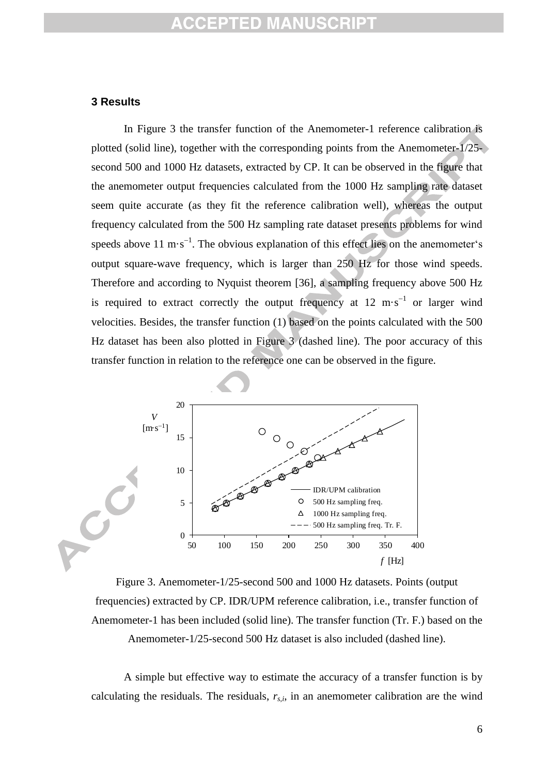#### **3 Results**

In Figure 3 the transfer function of the Anemometer-1 reference calibration is plotted (solid line), together with the corresponding points from the Anemometer-1/25 second 500 and 1000 Hz datasets, extracted by CP. It can be observed in the figure that the anemometer output frequencies calculated from the 1000 Hz sampling rate dataset seem quite accurate (as they fit the reference calibration well), whereas the output frequency calculated from the 500 Hz sampling rate dataset presents problems for wind speeds above 11 m $\cdot$ s<sup>-1</sup>. The obvious explanation of this effect lies on the anemometer's output square-wave frequency, which is larger than 250 Hz for those wind speeds. Therefore and according to Nyquist theorem [36], a sampling frequency above 500 Hz is required to extract correctly the output frequency at  $12 \text{ m} \cdot \text{s}^{-1}$  or larger wind velocities. Besides, the transfer function (1) based on the points calculated with the 500 Hz dataset has been also plotted in Figure 3 (dashed line). The poor accuracy of this transfer function in relation to the reference one can be observed in the figure.



Figure 3. Anemometer-1/25-second 500 and 1000 Hz datasets. Points (output frequencies) extracted by CP. IDR/UPM reference calibration, i.e., transfer function of Anemometer-1 has been included (solid line). The transfer function (Tr. F.) based on the Anemometer-1/25-second 500 Hz dataset is also included (dashed line).

A simple but effective way to estimate the accuracy of a transfer function is by calculating the residuals. The residuals,  $r_{s,i}$ , in an anemometer calibration are the wind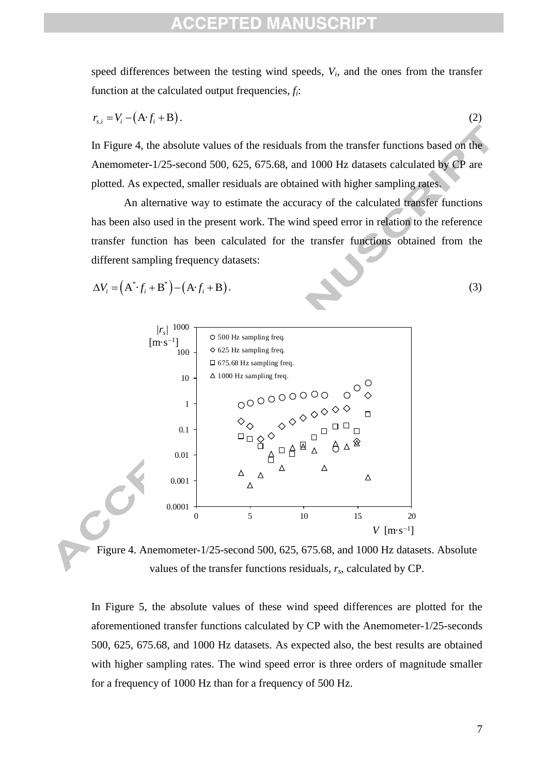speed differences between the testing wind speeds,  $V_i$ , and the ones from the transfer function at the calculated output frequencies, *fi*:

$$
r_{s,i} = V_i - (A \cdot f_i + B). \tag{2}
$$

In Figure 4, the absolute values of the residuals from the transfer functions based on the Anemometer-1/25-second 500, 625, 675.68, and 1000 Hz datasets calculated by CP are plotted. As expected, smaller residuals are obtained with higher sampling rates.

An alternative way to estimate the accuracy of the calculated transfer functions has been also used in the present work. The wind speed error in relation to the reference transfer function has been calculated for the transfer functions obtained from the different sampling frequency datasets:

$$
\Delta V_i = (A^* \cdot f_i + B^*) - (A \cdot f_i + B). \tag{3}
$$



Figure 4. Anemometer-1/25-second 500, 625, 675.68, and 1000 Hz datasets. Absolute values of the transfer functions residuals, *rs*, calculated by CP.

In Figure 5, the absolute values of these wind speed differences are plotted for the aforementioned transfer functions calculated by CP with the Anemometer-1/25-seconds 500, 625, 675.68, and 1000 Hz datasets. As expected also, the best results are obtained with higher sampling rates. The wind speed error is three orders of magnitude smaller for a frequency of 1000 Hz than for a frequency of 500 Hz.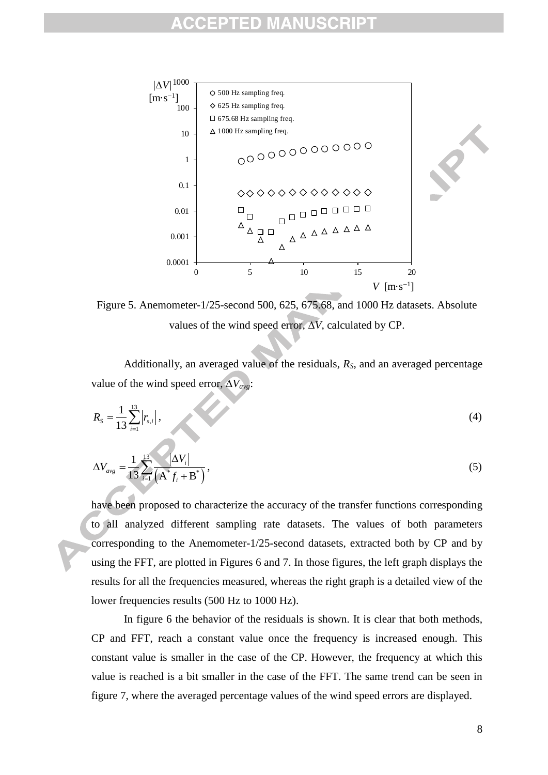

Figure 5. Anemometer-1/25-second 500, 625, 675.68, and 1000 Hz datasets. Absolute values of the wind speed error,  $\overline{\Delta V}$ , calculated by CP.

Additionally, an averaged value of the residuals, *RS*, and an averaged percentage value of the wind speed error,  $\Delta V_{avg}$ :

$$
R_{S} = \frac{1}{13} \sum_{i=1}^{13} |r_{s,i}|,
$$
\n(4)

$$
\Delta V_{avg} = \frac{1}{13} \sum_{i=1}^{13} \frac{|\Delta V_i|}{\left(\mathbf{A}^* f_i + \mathbf{B}^*\right)},\tag{5}
$$

have been proposed to characterize the accuracy of the transfer functions corresponding to all analyzed different sampling rate datasets. The values of both parameters corresponding to the Anemometer-1/25-second datasets, extracted both by CP and by using the FFT, are plotted in Figures 6 and 7. In those figures, the left graph displays the results for all the frequencies measured, whereas the right graph is a detailed view of the lower frequencies results (500 Hz to 1000 Hz).

In figure 6 the behavior of the residuals is shown. It is clear that both methods, CP and FFT, reach a constant value once the frequency is increased enough. This constant value is smaller in the case of the CP. However, the frequency at which this value is reached is a bit smaller in the case of the FFT. The same trend can be seen in figure 7, where the averaged percentage values of the wind speed errors are displayed.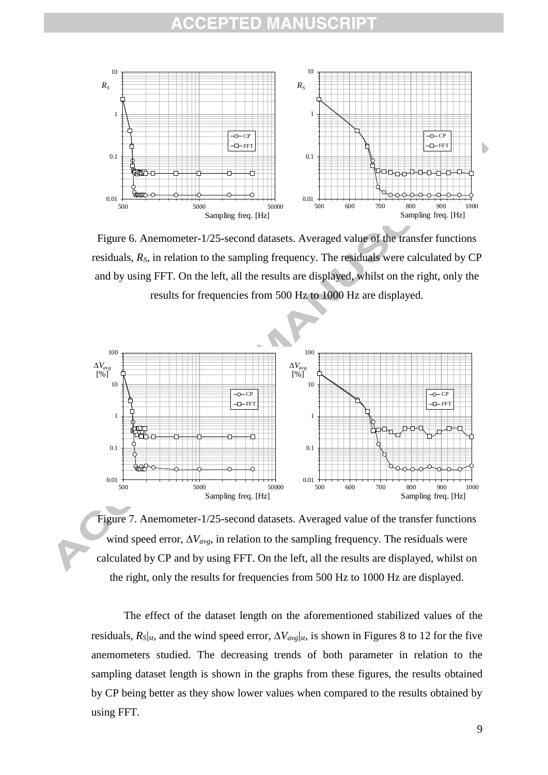

Figure 6. Anemometer-1/25-second datasets. Averaged value of the transfer functions residuals, *RS*, in relation to the sampling frequency. The residuals were calculated by CP and by using FFT. On the left, all the results are displayed, whilst on the right, only the results for frequencies from 500 Hz to 1000 Hz are displayed.



Figure 7. Anemometer-1/25-second datasets. Averaged value of the transfer functions wind speed error,  $\Delta V_{avg}$ , in relation to the sampling frequency. The residuals were calculated by CP and by using FFT. On the left, all the results are displayed, whilst on the right, only the results for frequencies from 500 Hz to 1000 Hz are displayed.

The effect of the dataset length on the aforementioned stabilized values of the residuals,  $R_{S}|_{st}$ , and the wind speed error,  $\Delta V_{avg}|_{st}$ , is shown in Figures 8 to 12 for the five anemometers studied. The decreasing trends of both parameter in relation to the sampling dataset length is shown in the graphs from these figures, the results obtained by CP being better as they show lower values when compared to the results obtained by using FFT.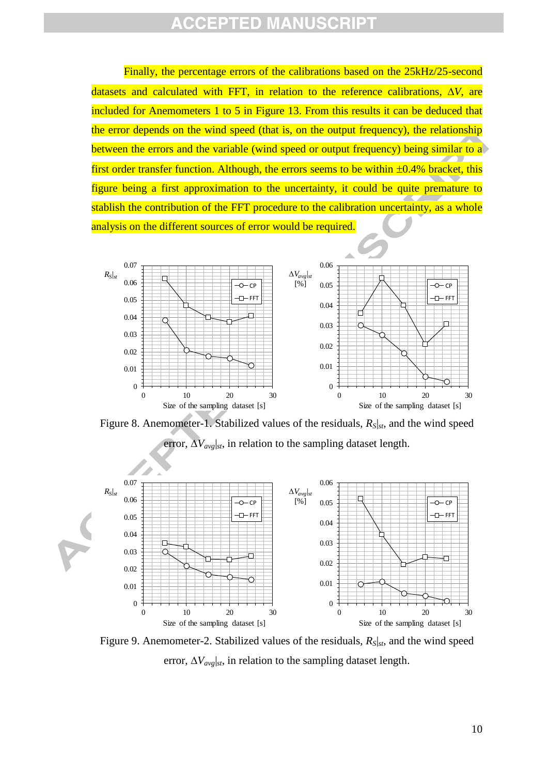Finally, the percentage errors of the calibrations based on the 25kHz/25-second datasets and calculated with FFT, in relation to the reference calibrations,  $\Delta V$ , are included for Anemometers 1 to 5 in Figure 13. From this results it can be deduced that the error depends on the wind speed (that is, on the output frequency), the relationship between the errors and the variable (wind speed or output frequency) being similar to a first order transfer function. Although, the errors seems to be within  $\pm 0.4\%$  bracket, this figure being a first approximation to the uncertainty, it could be quite premature to stablish the contribution of the FFT procedure to the calibration uncertainty, as a whole analysis on the different sources of error would be required.



Figure 8. Anemometer-1. Stabilized values of the residuals, *RS*|*st*, and the wind speed error,  $\Delta V_{avg}|_{st}$ , in relation to the sampling dataset length.



Figure 9. Anemometer-2. Stabilized values of the residuals, *RS*|*st*, and the wind speed error,  $\Delta V_{avg}|_{st}$ , in relation to the sampling dataset length.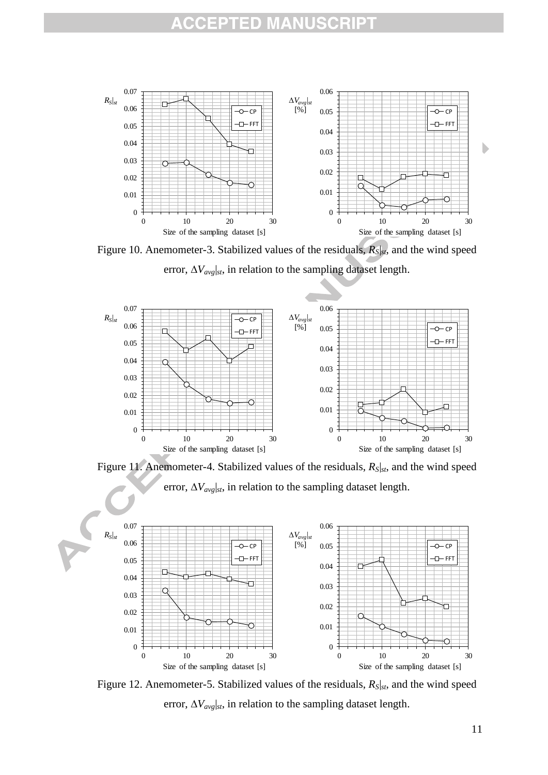

Figure 10. Anemometer-3. Stabilized values of the residuals, *RS*|*st*, and the wind speed error,  $\Delta V_{avg}|_{st}$ , in relation to the sampling dataset length.



Figure 11. Anemometer-4. Stabilized values of the residuals, *RS*|*st*, and the wind speed error,  $\Delta V_{avg}|_{st}$ , in relation to the sampling dataset length.



Figure 12. Anemometer-5. Stabilized values of the residuals, *RS*|*st*, and the wind speed error,  $\Delta V_{avg}|_{st}$ , in relation to the sampling dataset length.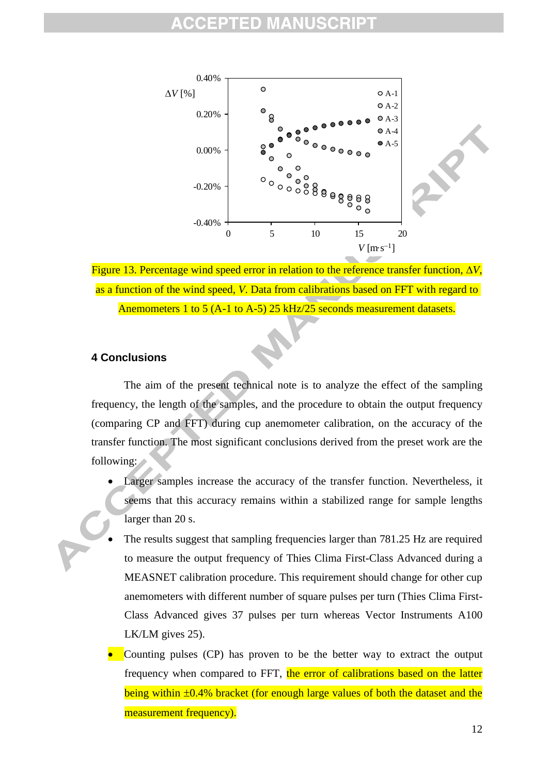



### **4 Conclusions**

The aim of the present technical note is to analyze the effect of the sampling frequency, the length of the samples, and the procedure to obtain the output frequency (comparing CP and FFT) during cup anemometer calibration, on the accuracy of the transfer function. The most significant conclusions derived from the preset work are the following:

- Larger samples increase the accuracy of the transfer function. Nevertheless, it seems that this accuracy remains within a stabilized range for sample lengths larger than 20 s.
- The results suggest that sampling frequencies larger than 781.25 Hz are required to measure the output frequency of Thies Clima First-Class Advanced during a MEASNET calibration procedure. This requirement should change for other cup anemometers with different number of square pulses per turn (Thies Clima First-Class Advanced gives 37 pulses per turn whereas Vector Instruments A100 LK/LM gives 25).
- Counting pulses (CP) has proven to be the better way to extract the output frequency when compared to FFT, the error of calibrations based on the latter being within  $\pm 0.4\%$  bracket (for enough large values of both the dataset and the measurement frequency).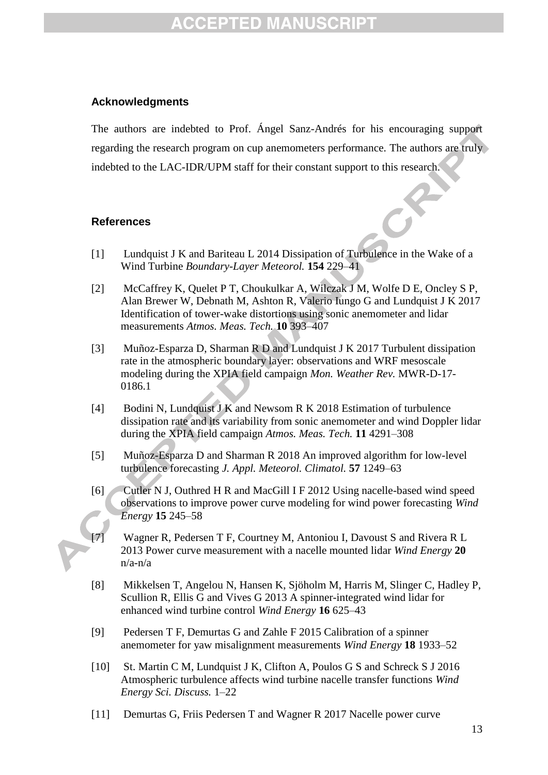### **Acknowledgments**

The authors are indebted to Prof. Ángel Sanz-Andrés for his encouraging support regarding the research program on cup anemometers performance. The authors are truly indebted to the LAC-IDR/UPM staff for their constant support to this research.

### **References**

- [1] Lundquist J K and Bariteau L 2014 Dissipation of Turbulence in the Wake of a Wind Turbine *Boundary-Layer Meteorol.* **154** 229–41
- [2] McCaffrey K, Quelet P T, Choukulkar A, Wilczak J M, Wolfe D E, Oncley S P, Alan Brewer W, Debnath M, Ashton R, Valerio Iungo G and Lundquist J K 2017 Identification of tower-wake distortions using sonic anemometer and lidar measurements *Atmos. Meas. Tech.* **10** 393–407
- [3] Muñoz-Esparza D, Sharman R D and Lundquist J K 2017 Turbulent dissipation rate in the atmospheric boundary layer: observations and WRF mesoscale modeling during the XPIA field campaign *Mon. Weather Rev.* MWR-D-17- 0186.1
- [4] Bodini N, Lundquist J K and Newsom R K 2018 Estimation of turbulence dissipation rate and its variability from sonic anemometer and wind Doppler lidar during the XPIA field campaign *Atmos. Meas. Tech.* **11** 4291–308
- [5] Muñoz-Esparza D and Sharman R 2018 An improved algorithm for low-level turbulence forecasting *J. Appl. Meteorol. Climatol.* **57** 1249–63
- [6] Cutler N J, Outhred H R and MacGill I F 2012 Using nacelle-based wind speed observations to improve power curve modeling for wind power forecasting *Wind Energy* **15** 245–58
- Wagner R, Pedersen T F, Courtney M, Antoniou I, Davoust S and Rivera R L 2013 Power curve measurement with a nacelle mounted lidar *Wind Energy* **20** n/a-n/a
- [8] Mikkelsen T, Angelou N, Hansen K, Sjöholm M, Harris M, Slinger C, Hadley P, Scullion R, Ellis G and Vives G 2013 A spinner-integrated wind lidar for enhanced wind turbine control *Wind Energy* **16** 625–43
- [9] Pedersen T F, Demurtas G and Zahle F 2015 Calibration of a spinner anemometer for yaw misalignment measurements *Wind Energy* **18** 1933–52
- [10] St. Martin C M, Lundquist J K, Clifton A, Poulos G S and Schreck S J 2016 Atmospheric turbulence affects wind turbine nacelle transfer functions *Wind Energy Sci. Discuss.* 1–22
- [11] Demurtas G, Friis Pedersen T and Wagner R 2017 Nacelle power curve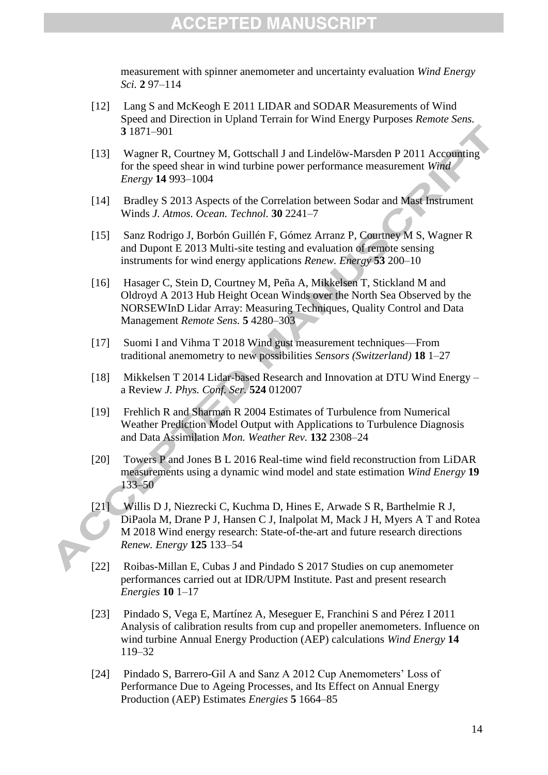measurement with spinner anemometer and uncertainty evaluation *Wind Energy Sci.* **2** 97–114

- [12] Lang S and McKeogh E 2011 LIDAR and SODAR Measurements of Wind Speed and Direction in Upland Terrain for Wind Energy Purposes *Remote Sens.* **3** 1871–901
- [13] Wagner R, Courtney M, Gottschall J and Lindelöw-Marsden P 2011 Accounting for the speed shear in wind turbine power performance measurement *Wind Energy* **14** 993–1004
- [14] Bradley S 2013 Aspects of the Correlation between Sodar and Mast Instrument Winds *J. Atmos. Ocean. Technol.* **30** 2241–7
- [15] Sanz Rodrigo J, Borbón Guillén F, Gómez Arranz P, Courtney M S, Wagner R and Dupont E 2013 Multi-site testing and evaluation of remote sensing instruments for wind energy applications *Renew. Energy* **53** 200–10
- [16] Hasager C, Stein D, Courtney M, Peña A, Mikkelsen T, Stickland M and Oldroyd A 2013 Hub Height Ocean Winds over the North Sea Observed by the NORSEWInD Lidar Array: Measuring Techniques, Quality Control and Data Management *Remote Sens.* **5** 4280–303
- [17] Suomi I and Vihma T 2018 Wind gust measurement techniques—From traditional anemometry to new possibilities *Sensors (Switzerland)* **18** 1–27
- [18] Mikkelsen T 2014 Lidar-based Research and Innovation at DTU Wind Energy a Review *J. Phys. Conf. Ser.* **524** 012007
- [19] Frehlich R and Sharman R 2004 Estimates of Turbulence from Numerical Weather Prediction Model Output with Applications to Turbulence Diagnosis and Data Assimilation *Mon. Weather Rev.* **132** 2308–24
- [20] Towers P and Jones B L 2016 Real-time wind field reconstruction from LiDAR measurements using a dynamic wind model and state estimation *Wind Energy* **19** 133–50
- [21] Willis D J, Niezrecki C, Kuchma D, Hines E, Arwade S R, Barthelmie R J, DiPaola M, Drane P J, Hansen C J, Inalpolat M, Mack J H, Myers A T and Rotea M 2018 Wind energy research: State-of-the-art and future research directions *Renew. Energy* **125** 133–54
- [22] Roibas-Millan E, Cubas J and Pindado S 2017 Studies on cup anemometer performances carried out at IDR/UPM Institute. Past and present research *Energies* **10** 1–17
- [23] Pindado S, Vega E, Martínez A, Meseguer E, Franchini S and Pérez I 2011 Analysis of calibration results from cup and propeller anemometers. Influence on wind turbine Annual Energy Production (AEP) calculations *Wind Energy* **14** 119–32
- [24] Pindado S, Barrero-Gil A and Sanz A 2012 Cup Anemometers' Loss of Performance Due to Ageing Processes, and Its Effect on Annual Energy Production (AEP) Estimates *Energies* **5** 1664–85